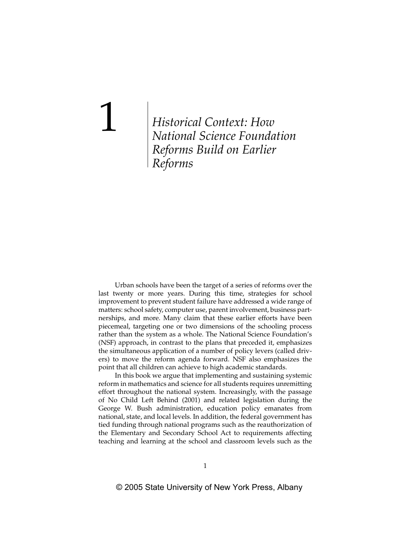# 1 *Historical Context: How National Science Foundation Reforms Build on Earlier Reforms*

Urban schools have been the target of a series of reforms over the last twenty or more years. During this time, strategies for school improvement to prevent student failure have addressed a wide range of matters: school safety, computer use, parent involvement, business partnerships, and more. Many claim that these earlier efforts have been piecemeal, targeting one or two dimensions of the schooling process rather than the system as a whole. The National Science Foundation's (NSF) approach, in contrast to the plans that preceded it, emphasizes the simultaneous application of a number of policy levers (called drivers) to move the reform agenda forward. NSF also emphasizes the point that all children can achieve to high academic standards.

In this book we argue that implementing and sustaining systemic reform in mathematics and science for all students requires unremitting effort throughout the national system. Increasingly, with the passage of No Child Left Behind (2001) and related legislation during the George W. Bush administration, education policy emanates from national, state, and local levels. In addition, the federal government has tied funding through national programs such as the reauthorization of the Elementary and Secondary School Act to requirements affecting teaching and learning at the school and classroom levels such as the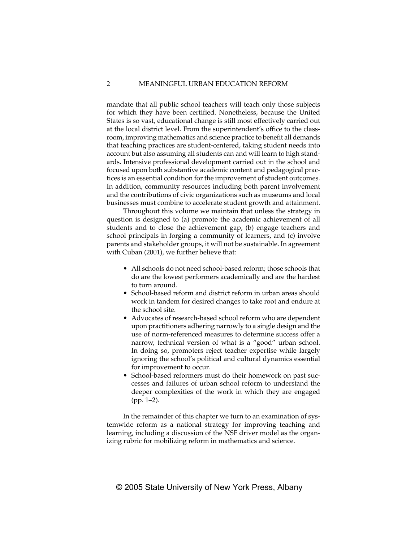mandate that all public school teachers will teach only those subjects for which they have been certified. Nonetheless, because the United States is so vast, educational change is still most effectively carried out at the local district level. From the superintendent's office to the classroom, improving mathematics and science practice to benefit all demands that teaching practices are student-centered, taking student needs into account but also assuming all students can and will learn to high standards. Intensive professional development carried out in the school and focused upon both substantive academic content and pedagogical practices is an essential condition for the improvement of student outcomes. In addition, community resources including both parent involvement and the contributions of civic organizations such as museums and local businesses must combine to accelerate student growth and attainment.

Throughout this volume we maintain that unless the strategy in question is designed to (a) promote the academic achievement of all students and to close the achievement gap, (b) engage teachers and school principals in forging a community of learners, and (c) involve parents and stakeholder groups, it will not be sustainable. In agreement with Cuban (2001), we further believe that:

- All schools do not need school-based reform; those schools that do are the lowest performers academically and are the hardest to turn around.
- School-based reform and district reform in urban areas should work in tandem for desired changes to take root and endure at the school site.
- Advocates of research-based school reform who are dependent upon practitioners adhering narrowly to a single design and the use of norm-referenced measures to determine success offer a narrow, technical version of what is a "good" urban school. In doing so, promoters reject teacher expertise while largely ignoring the school's political and cultural dynamics essential for improvement to occur.
- School-based reformers must do their homework on past successes and failures of urban school reform to understand the deeper complexities of the work in which they are engaged (pp. 1–2).

In the remainder of this chapter we turn to an examination of systemwide reform as a national strategy for improving teaching and learning, including a discussion of the NSF driver model as the organizing rubric for mobilizing reform in mathematics and science.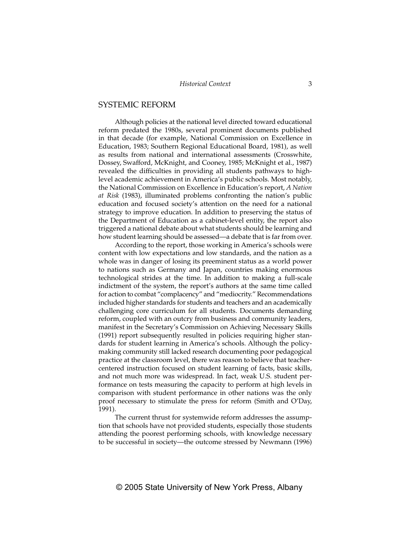### SYSTEMIC REFORM

Although policies at the national level directed toward educational reform predated the 1980s, several prominent documents published in that decade (for example, National Commission on Excellence in Education, 1983; Southern Regional Educational Board, 1981), as well as results from national and international assessments (Crosswhite, Dossey, Swafford, McKnight, and Cooney, 1985; McKnight et al., 1987) revealed the difficulties in providing all students pathways to highlevel academic achievement in America's public schools. Most notably, the National Commission on Excellence in Education's report, *A Nation at Risk* (1983), illuminated problems confronting the nation's public education and focused society's attention on the need for a national strategy to improve education. In addition to preserving the status of the Department of Education as a cabinet-level entity, the report also triggered a national debate about what students should be learning and how student learning should be assessed—a debate that is far from over.

According to the report, those working in America's schools were content with low expectations and low standards, and the nation as a whole was in danger of losing its preeminent status as a world power to nations such as Germany and Japan, countries making enormous technological strides at the time. In addition to making a full-scale indictment of the system, the report's authors at the same time called for action to combat "complacency" and "mediocrity." Recommendations included higher standards for students and teachers and an academically challenging core curriculum for all students. Documents demanding reform, coupled with an outcry from business and community leaders, manifest in the Secretary's Commission on Achieving Necessary Skills (1991) report subsequently resulted in policies requiring higher standards for student learning in America's schools. Although the policymaking community still lacked research documenting poor pedagogical practice at the classroom level, there was reason to believe that teachercentered instruction focused on student learning of facts, basic skills, and not much more was widespread. In fact, weak U.S. student performance on tests measuring the capacity to perform at high levels in comparison with student performance in other nations was the only proof necessary to stimulate the press for reform (Smith and O'Day, 1991).

The current thrust for systemwide reform addresses the assumption that schools have not provided students, especially those students attending the poorest performing schools, with knowledge necessary to be successful in society—the outcome stressed by Newmann (1996)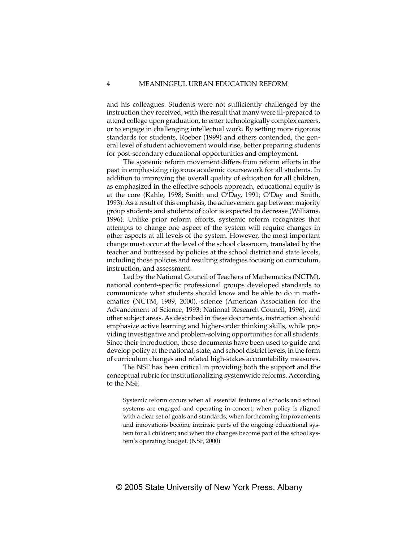and his colleagues. Students were not sufficiently challenged by the instruction they received, with the result that many were ill-prepared to attend college upon graduation, to enter technologically complex careers, or to engage in challenging intellectual work. By setting more rigorous standards for students, Roeber (1999) and others contended, the general level of student achievement would rise, better preparing students for post-secondary educational opportunities and employment.

The systemic reform movement differs from reform efforts in the past in emphasizing rigorous academic coursework for all students. In addition to improving the overall quality of education for all children, as emphasized in the effective schools approach, educational equity is at the core (Kahle, 1998; Smith and O'Day, 1991; O'Day and Smith, 1993). As a result of this emphasis, the achievement gap between majority group students and students of color is expected to decrease (Williams, 1996). Unlike prior reform efforts, systemic reform recognizes that attempts to change one aspect of the system will require changes in other aspects at all levels of the system. However, the most important change must occur at the level of the school classroom, translated by the teacher and buttressed by policies at the school district and state levels, including those policies and resulting strategies focusing on curriculum, instruction, and assessment.

Led by the National Council of Teachers of Mathematics (NCTM), national content-specific professional groups developed standards to communicate what students should know and be able to do in mathematics (NCTM, 1989, 2000), science (American Association for the Advancement of Science, 1993; National Research Council, 1996), and other subject areas. As described in these documents, instruction should emphasize active learning and higher-order thinking skills, while providing investigative and problem-solving opportunities for all students. Since their introduction, these documents have been used to guide and develop policy at the national, state, and school district levels, in the form of curriculum changes and related high-stakes accountability measures.

The NSF has been critical in providing both the support and the conceptual rubric for institutionalizing systemwide reforms. According to the NSF,

Systemic reform occurs when all essential features of schools and school systems are engaged and operating in concert; when policy is aligned with a clear set of goals and standards; when forthcoming improvements and innovations become intrinsic parts of the ongoing educational system for all children; and when the changes become part of the school system's operating budget. (NSF, 2000)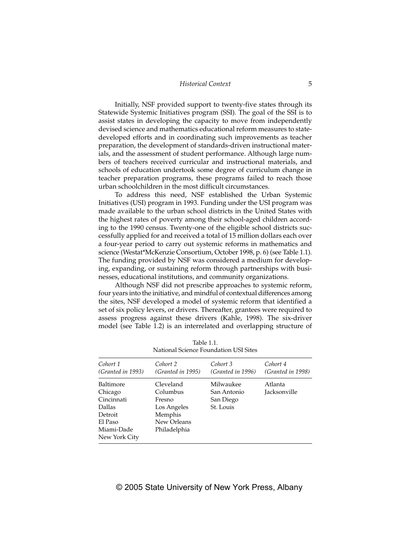Initially, NSF provided support to twenty-five states through its Statewide Systemic Initiatives program (SSI). The goal of the SSI is to assist states in developing the capacity to move from independently devised science and mathematics educational reform measures to statedeveloped efforts and in coordinating such improvements as teacher preparation, the development of standards-driven instructional materials, and the assessment of student performance. Although large numbers of teachers received curricular and instructional materials, and schools of education undertook some degree of curriculum change in teacher preparation programs, these programs failed to reach those urban schoolchildren in the most difficult circumstances.

To address this need, NSF established the Urban Systemic Initiatives (USI) program in 1993. Funding under the USI program was made available to the urban school districts in the United States with the highest rates of poverty among their school-aged children according to the 1990 census. Twenty-one of the eligible school districts successfully applied for and received a total of 15 million dollars each over a four-year period to carry out systemic reforms in mathematics and science (Westat\*McKenzie Consortium, October 1998, p. 6) (see Table 1.1). The funding provided by NSF was considered a medium for developing, expanding, or sustaining reform through partnerships with businesses, educational institutions, and community organizations.

Although NSF did not prescribe approaches to systemic reform, four years into the initiative, and mindful of contextual differences among the sites, NSF developed a model of systemic reform that identified a set of six policy levers, or drivers. Thereafter, grantees were required to assess progress against these drivers (Kahle, 1998). The six-driver model (see Table 1.2) is an interrelated and overlapping structure of

|                                                                                                   | National Science Foundation USI Sites                                                    |                                                    |                                |
|---------------------------------------------------------------------------------------------------|------------------------------------------------------------------------------------------|----------------------------------------------------|--------------------------------|
| Cohort 1<br>(Granted in 1993)                                                                     | Cohort 2<br>(Granted in 1995)                                                            | Cohort 3<br>(Granted in 1996)                      | Cohort 4<br>(Granted in 1998)  |
| Baltimore<br>Chicago<br>Cincinnati<br>Dallas<br>Detroit<br>El Paso<br>Miami-Dade<br>New York City | Cleveland<br>Columbus<br>Fresno<br>Los Angeles<br>Memphis<br>New Orleans<br>Philadelphia | Milwaukee<br>San Antonio<br>San Diego<br>St. Louis | Atlanta<br><i>Jacksonville</i> |

Table 1.1. National Science Foundation USI Sites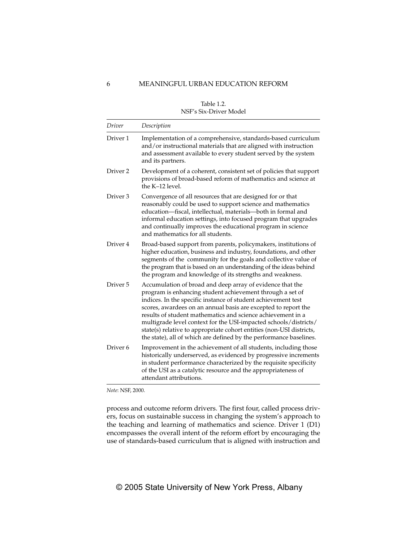| Driver              | Description                                                                                                                                                                                                                                                                                                                                                                                                                                                                                                                                |  |
|---------------------|--------------------------------------------------------------------------------------------------------------------------------------------------------------------------------------------------------------------------------------------------------------------------------------------------------------------------------------------------------------------------------------------------------------------------------------------------------------------------------------------------------------------------------------------|--|
| Driver 1            | Implementation of a comprehensive, standards-based curriculum<br>and/or instructional materials that are aligned with instruction<br>and assessment available to every student served by the system<br>and its partners.                                                                                                                                                                                                                                                                                                                   |  |
| Driver <sub>2</sub> | Development of a coherent, consistent set of policies that support<br>provisions of broad-based reform of mathematics and science at<br>the K-12 level.                                                                                                                                                                                                                                                                                                                                                                                    |  |
| Driver <sub>3</sub> | Convergence of all resources that are designed for or that<br>reasonably could be used to support science and mathematics<br>education—fiscal, intellectual, materials—both in formal and<br>informal education settings, into focused program that upgrades<br>and continually improves the educational program in science<br>and mathematics for all students.                                                                                                                                                                           |  |
| Driver <sub>4</sub> | Broad-based support from parents, policymakers, institutions of<br>higher education, business and industry, foundations, and other<br>segments of the community for the goals and collective value of<br>the program that is based on an understanding of the ideas behind<br>the program and knowledge of its strengths and weakness.                                                                                                                                                                                                     |  |
| Driver <sub>5</sub> | Accumulation of broad and deep array of evidence that the<br>program is enhancing student achievement through a set of<br>indices. In the specific instance of student achievement test<br>scores, awardees on an annual basis are excepted to report the<br>results of student mathematics and science achievement in a<br>multigrade level context for the USI-impacted schools/districts/<br>state(s) relative to appropriate cohort entities (non-USI districts,<br>the state), all of which are defined by the performance baselines. |  |
| Driver <sub>6</sub> | Improvement in the achievement of all students, including those<br>historically underserved, as evidenced by progressive increments<br>in student performance characterized by the requisite specificity<br>of the USI as a catalytic resource and the appropriateness of<br>attendant attributions.                                                                                                                                                                                                                                       |  |

Table 1.2. NSF's Six-Driver Model

*Note*: NSF, 2000.

process and outcome reform drivers. The first four, called process drivers, focus on sustainable success in changing the system's approach to the teaching and learning of mathematics and science. Driver 1 (D1) encompasses the overall intent of the reform effort by encouraging the use of standards-based curriculum that is aligned with instruction and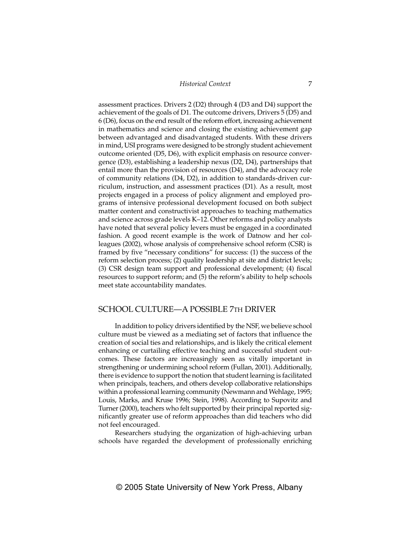assessment practices. Drivers 2 (D2) through 4 (D3 and D4) support the achievement of the goals of D1. The outcome drivers, Drivers 5 (D5) and 6 (D6), focus on the end result of the reform effort, increasing achievement in mathematics and science and closing the existing achievement gap between advantaged and disadvantaged students. With these drivers in mind, USI programs were designed to be strongly student achievement outcome oriented (D5, D6), with explicit emphasis on resource convergence (D3), establishing a leadership nexus (D2, D4), partnerships that entail more than the provision of resources (D4), and the advocacy role of community relations (D4, D2), in addition to standards-driven curriculum, instruction, and assessment practices (D1). As a result, most projects engaged in a process of policy alignment and employed programs of intensive professional development focused on both subject matter content and constructivist approaches to teaching mathematics and science across grade levels K–12. Other reforms and policy analysts have noted that several policy levers must be engaged in a coordinated fashion. A good recent example is the work of Datnow and her colleagues (2002), whose analysis of comprehensive school reform (CSR) is framed by five "necessary conditions" for success: (1) the success of the reform selection process; (2) quality leadership at site and district levels; (3) CSR design team support and professional development; (4) fiscal resources to support reform; and (5) the reform's ability to help schools meet state accountability mandates.

#### SCHOOL CULTURE—A POSSIBLE 7TH DRIVER

In addition to policy drivers identified by the NSF, we believe school culture must be viewed as a mediating set of factors that influence the creation of social ties and relationships, and is likely the critical element enhancing or curtailing effective teaching and successful student outcomes. These factors are increasingly seen as vitally important in strengthening or undermining school reform (Fullan, 2001). Additionally, there is evidence to support the notion that student learning is facilitated when principals, teachers, and others develop collaborative relationships within a professional learning community (Newmann and Wehlage, 1995; Louis, Marks, and Kruse 1996; Stein, 1998). According to Supovitz and Turner (2000), teachers who felt supported by their principal reported significantly greater use of reform approaches than did teachers who did not feel encouraged.

Researchers studying the organization of high-achieving urban schools have regarded the development of professionally enriching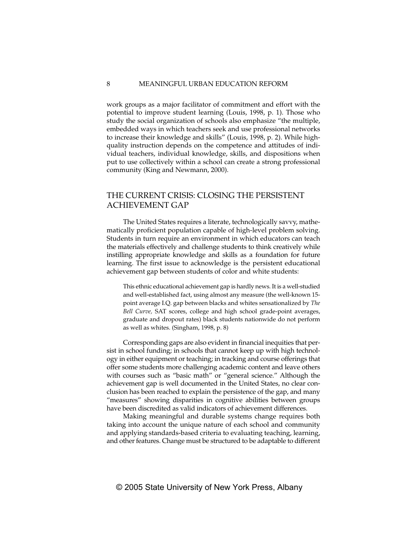8 MEANINGFUL URBAN EDUCATION REFORM

work groups as a major facilitator of commitment and effort with the potential to improve student learning (Louis, 1998, p. 1). Those who study the social organization of schools also emphasize "the multiple, embedded ways in which teachers seek and use professional networks to increase their knowledge and skills" (Louis, 1998, p. 2). While highquality instruction depends on the competence and attitudes of individual teachers, individual knowledge, skills, and dispositions when put to use collectively within a school can create a strong professional community (King and Newmann, 2000).

# THE CURRENT CRISIS: CLOSING THE PERSISTENT ACHIEVEMENT GAP

The United States requires a literate, technologically savvy, mathematically proficient population capable of high-level problem solving. Students in turn require an environment in which educators can teach the materials effectively and challenge students to think creatively while instilling appropriate knowledge and skills as a foundation for future learning. The first issue to acknowledge is the persistent educational achievement gap between students of color and white students:

This ethnic educational achievement gap is hardly news. It is a well-studied and well-established fact, using almost any measure (the well-known 15 point average I.Q. gap between blacks and whites sensationalized by *The Bell Curve,* SAT scores, college and high school grade-point averages, graduate and dropout rates) black students nationwide do not perform as well as whites. (Singham, 1998, p. 8)

Corresponding gaps are also evident in financial inequities that persist in school funding; in schools that cannot keep up with high technology in either equipment or teaching; in tracking and course offerings that offer some students more challenging academic content and leave others with courses such as "basic math" or "general science." Although the achievement gap is well documented in the United States, no clear conclusion has been reached to explain the persistence of the gap, and many "measures" showing disparities in cognitive abilities between groups have been discredited as valid indicators of achievement differences.

Making meaningful and durable systems change requires both taking into account the unique nature of each school and community and applying standards-based criteria to evaluating teaching, learning, and other features. Change must be structured to be adaptable to different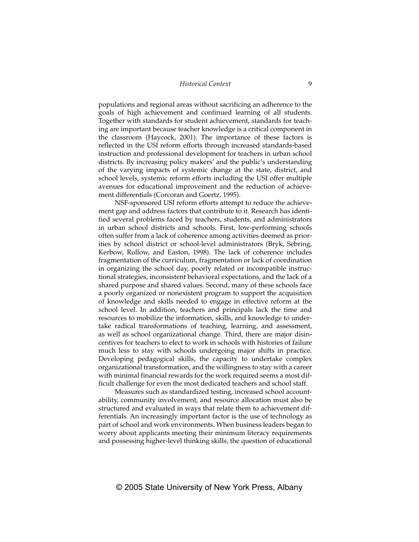populations and regional areas without sacrificing an adherence to the goals of high achievement and continued learning of all students. Together with standards for student achievement, standards for teaching are important because teacher knowledge is a critical component in the classroom (Haycock, 2001). The importance of these factors is reflected in the USI reform efforts through increased standards-based instruction and professional development for teachers in urban school districts. By increasing policy makers' and the public's understanding of the varying impacts of systemic change at the state, district, and school levels, systemic reform efforts including the USI offer multiple avenues for educational improvement and the reduction of achievement differentials (Corcoran and Goertz, 1995).

NSF-sponsored USI reform efforts attempt to reduce the achievement gap and address factors that contribute to it. Research has identified several problems faced by teachers, students, and administrators in urban school districts and schools. First, low-performing schools often suffer from a lack of coherence among activities deemed as priorities by school district or school-level administrators (Bryk, Sebring, Kerbow, Rollow, and Easton, 1998). The lack of coherence includes fragmentation of the curriculum, fragmentation or lack of coordination in organizing the school day, poorly related or incompatible instructional strategies, inconsistent behavioral expectations, and the lack of a shared purpose and shared values. Second, many of these schools face a poorly organized or nonexistent program to support the acquisition of knowledge and skills needed to engage in effective reform at the school level. In addition, teachers and principals lack the time and resources to mobilize the information, skills, and knowledge to undertake radical transformations of teaching, learning, and assessment, as well as school organizational change. Third, there are major disincentives for teachers to elect to work in schools with histories of failure much less to stay with schools undergoing major shifts in practice. Developing pedagogical skills, the capacity to undertake complex organizational transformation, and the willingness to stay with a career with minimal financial rewards for the work required seems a most difficult challenge for even the most dedicated teachers and school staff.

Measures such as standardized testing, increased school accountability, community involvement, and resource allocation must also be structured and evaluated in ways that relate them to achievement differentials. An increasingly important factor is the use of technology as part of school and work environments. When business leaders began to worry about applicants meeting their minimum literacy requirements and possessing higher-level thinking skills, the question of educational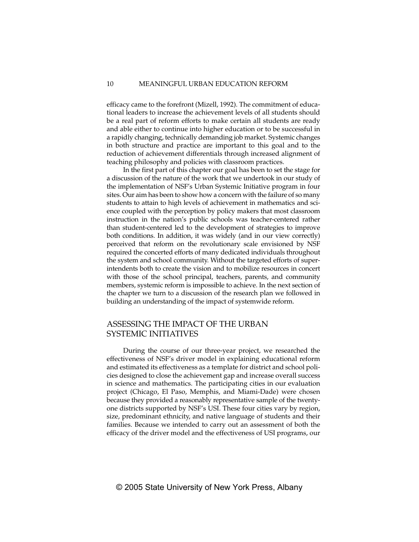efficacy came to the forefront (Mizell, 1992). The commitment of educational leaders to increase the achievement levels of all students should be a real part of reform efforts to make certain all students are ready and able either to continue into higher education or to be successful in a rapidly changing, technically demanding job market. Systemic changes in both structure and practice are important to this goal and to the reduction of achievement differentials through increased alignment of teaching philosophy and policies with classroom practices.

In the first part of this chapter our goal has been to set the stage for a discussion of the nature of the work that we undertook in our study of the implementation of NSF's Urban Systemic Initiative program in four sites. Our aim has been to show how a concern with the failure of so many students to attain to high levels of achievement in mathematics and science coupled with the perception by policy makers that most classroom instruction in the nation's public schools was teacher-centered rather than student-centered led to the development of strategies to improve both conditions. In addition, it was widely (and in our view correctly) perceived that reform on the revolutionary scale envisioned by NSF required the concerted efforts of many dedicated individuals throughout the system and school community. Without the targeted efforts of superintendents both to create the vision and to mobilize resources in concert with those of the school principal, teachers, parents, and community members, systemic reform is impossible to achieve. In the next section of the chapter we turn to a discussion of the research plan we followed in building an understanding of the impact of systemwide reform.

# ASSESSING THE IMPACT OF THE URBAN SYSTEMIC INITIATIVES

During the course of our three-year project, we researched the effectiveness of NSF's driver model in explaining educational reform and estimated its effectiveness as a template for district and school policies designed to close the achievement gap and increase overall success in science and mathematics. The participating cities in our evaluation project (Chicago, El Paso, Memphis, and Miami-Dade) were chosen because they provided a reasonably representative sample of the twentyone districts supported by NSF's USI. These four cities vary by region, size, predominant ethnicity, and native language of students and their families. Because we intended to carry out an assessment of both the efficacy of the driver model and the effectiveness of USI programs, our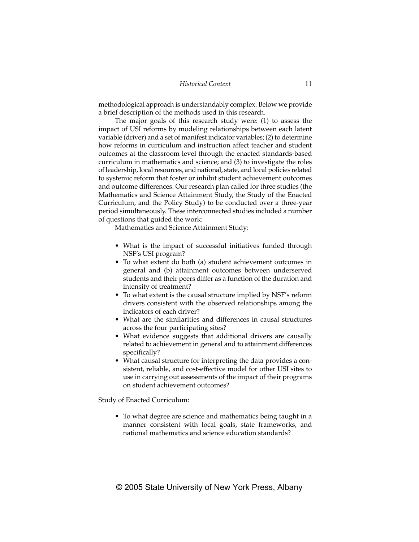methodological approach is understandably complex. Below we provide a brief description of the methods used in this research.

The major goals of this research study were: (1) to assess the impact of USI reforms by modeling relationships between each latent variable (driver) and a set of manifest indicator variables; (2) to determine how reforms in curriculum and instruction affect teacher and student outcomes at the classroom level through the enacted standards-based curriculum in mathematics and science; and (3) to investigate the roles of leadership, local resources, and national, state, and local policies related to systemic reform that foster or inhibit student achievement outcomes and outcome differences. Our research plan called for three studies (the Mathematics and Science Attainment Study, the Study of the Enacted Curriculum, and the Policy Study) to be conducted over a three-year period simultaneously. These interconnected studies included a number of questions that guided the work:

Mathematics and Science Attainment Study:

- What is the impact of successful initiatives funded through NSF's USI program?
- To what extent do both (a) student achievement outcomes in general and (b) attainment outcomes between underserved students and their peers differ as a function of the duration and intensity of treatment?
- To what extent is the causal structure implied by NSF's reform drivers consistent with the observed relationships among the indicators of each driver?
- What are the similarities and differences in causal structures across the four participating sites?
- What evidence suggests that additional drivers are causally related to achievement in general and to attainment differences specifically?
- What causal structure for interpreting the data provides a consistent, reliable, and cost-effective model for other USI sites to use in carrying out assessments of the impact of their programs on student achievement outcomes?

Study of Enacted Curriculum:

• To what degree are science and mathematics being taught in a manner consistent with local goals, state frameworks, and national mathematics and science education standards?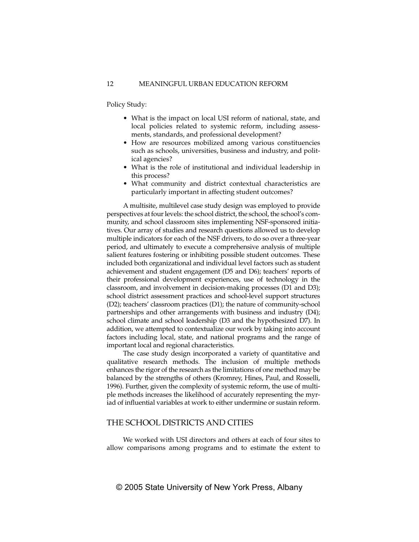#### 12 MEANINGFUL URBAN EDUCATION REFORM

Policy Study:

- What is the impact on local USI reform of national, state, and local policies related to systemic reform, including assessments, standards, and professional development?
- How are resources mobilized among various constituencies such as schools, universities, business and industry, and political agencies?
- What is the role of institutional and individual leadership in this process?
- What community and district contextual characteristics are particularly important in affecting student outcomes?

A multisite, multilevel case study design was employed to provide perspectives at four levels: the school district, the school, the school's community, and school classroom sites implementing NSF-sponsored initiatives. Our array of studies and research questions allowed us to develop multiple indicators for each of the NSF drivers, to do so over a three-year period, and ultimately to execute a comprehensive analysis of multiple salient features fostering or inhibiting possible student outcomes. These included both organizational and individual level factors such as student achievement and student engagement (D5 and D6); teachers' reports of their professional development experiences, use of technology in the classroom, and involvement in decision-making processes (D1 and D3); school district assessment practices and school-level support structures (D2); teachers' classroom practices (D1); the nature of community-school partnerships and other arrangements with business and industry (D4); school climate and school leadership (D3 and the hypothesized D7). In addition, we attempted to contextualize our work by taking into account factors including local, state, and national programs and the range of important local and regional characteristics.

The case study design incorporated a variety of quantitative and qualitative research methods. The inclusion of multiple methods enhances the rigor of the research as the limitations of one method may be balanced by the strengths of others (Kromrey, Hines, Paul, and Rosselli, 1996). Further, given the complexity of systemic reform, the use of multiple methods increases the likelihood of accurately representing the myriad of influential variables at work to either undermine or sustain reform.

#### THE SCHOOL DISTRICTS AND CITIES

We worked with USI directors and others at each of four sites to allow comparisons among programs and to estimate the extent to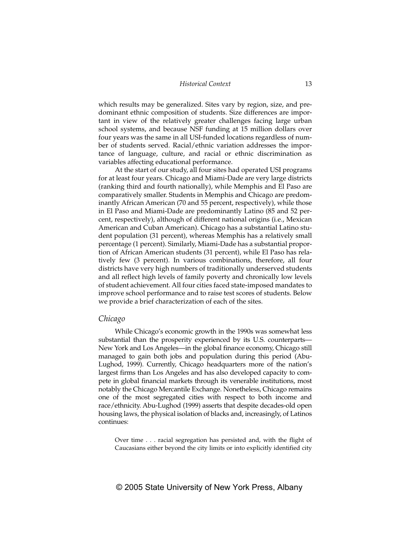which results may be generalized. Sites vary by region, size, and predominant ethnic composition of students. Size differences are important in view of the relatively greater challenges facing large urban school systems, and because NSF funding at 15 million dollars over four years was the same in all USI-funded locations regardless of number of students served. Racial/ethnic variation addresses the importance of language, culture, and racial or ethnic discrimination as variables affecting educational performance.

At the start of our study, all four sites had operated USI programs for at least four years. Chicago and Miami-Dade are very large districts (ranking third and fourth nationally), while Memphis and El Paso are comparatively smaller. Students in Memphis and Chicago are predominantly African American (70 and 55 percent, respectively), while those in El Paso and Miami-Dade are predominantly Latino (85 and 52 percent, respectively), although of different national origins (i.e., Mexican American and Cuban American). Chicago has a substantial Latino student population (31 percent), whereas Memphis has a relatively small percentage (1 percent). Similarly, Miami-Dade has a substantial proportion of African American students (31 percent), while El Paso has relatively few (3 percent). In various combinations, therefore, all four districts have very high numbers of traditionally underserved students and all reflect high levels of family poverty and chronically low levels of student achievement. All four cities faced state-imposed mandates to improve school performance and to raise test scores of students. Below we provide a brief characterization of each of the sites.

#### *Chicago*

While Chicago's economic growth in the 1990s was somewhat less substantial than the prosperity experienced by its U.S. counterparts— New York and Los Angeles—in the global finance economy, Chicago still managed to gain both jobs and population during this period (Abu-Lughod, 1999). Currently, Chicago headquarters more of the nation's largest firms than Los Angeles and has also developed capacity to compete in global financial markets through its venerable institutions, most notably the Chicago Mercantile Exchange. Nonetheless, Chicago remains one of the most segregated cities with respect to both income and race/ethnicity. Abu-Lughod (1999) asserts that despite decades-old open housing laws, the physical isolation of blacks and, increasingly, of Latinos continues:

Over time . . . racial segregation has persisted and, with the flight of Caucasians either beyond the city limits or into explicitly identified city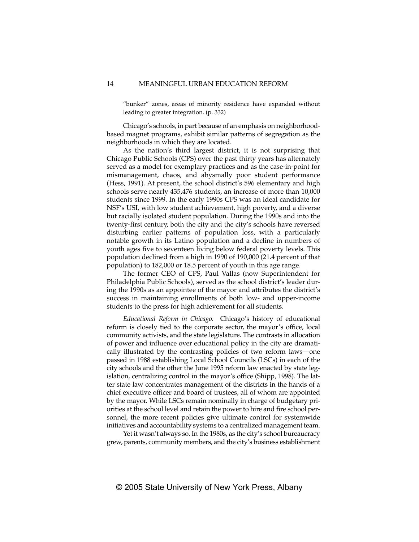"bunker" zones, areas of minority residence have expanded without leading to greater integration. (p. 332)

Chicago's schools, in part because of an emphasis on neighborhoodbased magnet programs, exhibit similar patterns of segregation as the neighborhoods in which they are located.

As the nation's third largest district, it is not surprising that Chicago Public Schools (CPS) over the past thirty years has alternately served as a model for exemplary practices and as the case-in-point for mismanagement, chaos, and abysmally poor student performance (Hess, 1991). At present, the school district's 596 elementary and high schools serve nearly 435,476 students, an increase of more than 10,000 students since 1999. In the early 1990s CPS was an ideal candidate for NSF's USI, with low student achievement, high poverty, and a diverse but racially isolated student population. During the 1990s and into the twenty-first century, both the city and the city's schools have reversed disturbing earlier patterns of population loss, with a particularly notable growth in its Latino population and a decline in numbers of youth ages five to seventeen living below federal poverty levels. This population declined from a high in 1990 of 190,000 (21.4 percent of that population) to 182,000 or 18.5 percent of youth in this age range.

The former CEO of CPS, Paul Vallas (now Superintendent for Philadelphia Public Schools), served as the school district's leader during the 1990s as an appointee of the mayor and attributes the district's success in maintaining enrollments of both low- and upper-income students to the press for high achievement for all students.

*Educational Reform in Chicago.* Chicago's history of educational reform is closely tied to the corporate sector, the mayor's office, local community activists, and the state legislature. The contrasts in allocation of power and influence over educational policy in the city are dramatically illustrated by the contrasting policies of two reform laws—one passed in 1988 establishing Local School Councils (LSCs) in each of the city schools and the other the June 1995 reform law enacted by state legislation, centralizing control in the mayor's office (Shipp, 1998). The latter state law concentrates management of the districts in the hands of a chief executive officer and board of trustees, all of whom are appointed by the mayor. While LSCs remain nominally in charge of budgetary priorities at the school level and retain the power to hire and fire school personnel, the more recent policies give ultimate control for systemwide initiatives and accountability systems to a centralized management team.

Yet it wasn't always so. In the 1980s, as the city's school bureaucracy grew, parents, community members, and the city's business establishment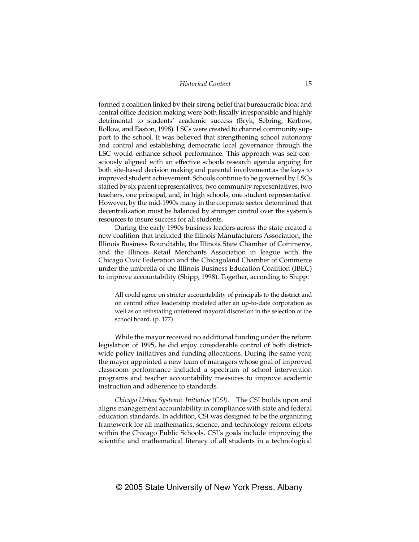formed a coalition linked by their strong belief that bureaucratic bloat and central office decision making were both fiscally irresponsible and highly detrimental to students' academic success (Bryk, Sebring, Kerbow, Rollow, and Easton, 1998). LSCs were created to channel community support to the school. It was believed that strengthening school autonomy and control and establishing democratic local governance through the LSC would enhance school performance. This approach was self-consciously aligned with an effective schools research agenda arguing for both site-based decision making and parental involvement as the keys to improved student achievement. Schools continue to be governed by LSCs staffed by six parent representatives, two community representatives, two teachers, one principal, and, in high schools, one student representative. However, by the mid-1990s many in the corporate sector determined that decentralization must be balanced by stronger control over the system's resources to insure success for all students.

During the early 1990s business leaders across the state created a new coalition that included the Illinois Manufacturers Association, the Illinois Business Roundtable, the Illinois State Chamber of Commerce, and the Illinois Retail Merchants Association in league with the Chicago Civic Federation and the Chicagoland Chamber of Commerce under the umbrella of the Illinois Business Education Coalition (IBEC) to improve accountability (Shipp, 1998). Together, according to Shipp:

All could agree on stricter accountability of principals to the district and on central office leadership modeled after an up-to-date corporation as well as on reinstating unfettered mayoral discretion in the selection of the school board. (p. 177)

While the mayor received no additional funding under the reform legislation of 1995, he did enjoy considerable control of both districtwide policy initiatives and funding allocations. During the same year, the mayor appointed a new team of managers whose goal of improved classroom performance included a spectrum of school intervention programs and teacher accountability measures to improve academic instruction and adherence to standards.

*Chicago Urban Systemic Initiative (CSI).* The CSI builds upon and aligns management accountability in compliance with state and federal education standards. In addition, CSI was designed to be the organizing framework for all mathematics, science, and technology reform efforts within the Chicago Public Schools. CSI's goals include improving the scientific and mathematical literacy of all students in a technological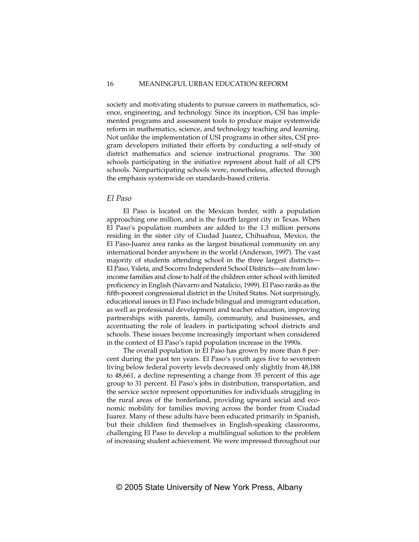society and motivating students to pursue careers in mathematics, science, engineering, and technology. Since its inception, CSI has implemented programs and assessment tools to produce major systemwide reform in mathematics, science, and technology teaching and learning. Not unlike the implementation of USI programs in other sites, CSI program developers initiated their efforts by conducting a self-study of district mathematics and science instructional programs. The 300 schools participating in the initiative represent about half of all CPS schools. Nonparticipating schools were, nonetheless, affected through the emphasis systemwide on standards-based criteria.

#### *El Paso*

El Paso is located on the Mexican border, with a population approaching one million, and is the fourth largest city in Texas. When El Paso's population numbers are added to the 1.3 million persons residing in the sister city of Ciudad Juarez, Chihuahua, Mexico, the El Paso-Juarez area ranks as the largest binational community on any international border anywhere in the world (Anderson, 1997). The vast majority of students attending school in the three largest districts— El Paso, Ysleta, and Socorro Independent School Districts—are from lowincome families and close to half of the children enter school with limited proficiency in English (Navarro and Natalicio, 1999). El Paso ranks as the fifth-poorest congressional district in the United States. Not surprisingly, educational issues in El Paso include bilingual and immigrant education, as well as professional development and teacher education, improving partnerships with parents, family, community, and businesses, and accentuating the role of leaders in participating school districts and schools. These issues become increasingly important when considered in the context of El Paso's rapid population increase in the 1990s.

The overall population in El Paso has grown by more than 8 percent during the past ten years. El Paso's youth ages five to seventeen living below federal poverty levels decreased only slightly from 48,188 to 48,661, a decline representing a change from 35 percent of this age group to 31 percent. El Paso's jobs in distribution, transportation, and the service sector represent opportunities for individuals struggling in the rural areas of the borderland, providing upward social and economic mobility for families moving across the border from Ciudad Juarez. Many of these adults have been educated primarily in Spanish, but their children find themselves in English-speaking classrooms, challenging El Paso to develop a multilingual solution to the problem of increasing student achievement. We were impressed throughout our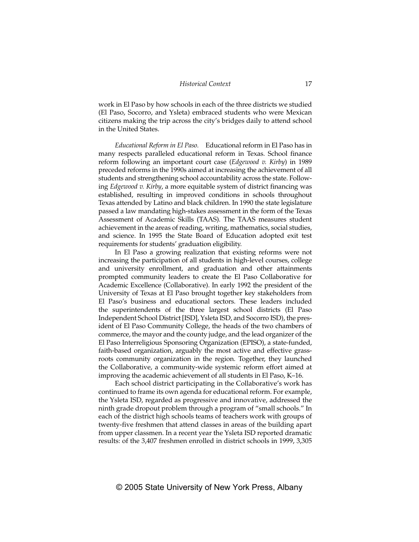work in El Paso by how schools in each of the three districts we studied (El Paso, Socorro, and Ysleta) embraced students who were Mexican citizens making the trip across the city's bridges daily to attend school in the United States.

*Educational Reform in El Paso.* Educational reform in El Paso has in many respects paralleled educational reform in Texas. School finance reform following an important court case (*Edgewood v. Kirby*) in 1989 preceded reforms in the 1990s aimed at increasing the achievement of all students and strengthening school accountability across the state. Following *Edgewood v. Kirby*, a more equitable system of district financing was established, resulting in improved conditions in schools throughout Texas attended by Latino and black children. In 1990 the state legislature passed a law mandating high-stakes assessment in the form of the Texas Assessment of Academic Skills (TAAS). The TAAS measures student achievement in the areas of reading, writing, mathematics, social studies, and science. In 1995 the State Board of Education adopted exit test requirements for students' graduation eligibility.

In El Paso a growing realization that existing reforms were not increasing the participation of all students in high-level courses, college and university enrollment, and graduation and other attainments prompted community leaders to create the El Paso Collaborative for Academic Excellence (Collaborative). In early 1992 the president of the University of Texas at El Paso brought together key stakeholders from El Paso's business and educational sectors. These leaders included the superintendents of the three largest school districts (El Paso Independent School District [ISD], Ysleta ISD, and Socorro ISD), the president of El Paso Community College, the heads of the two chambers of commerce, the mayor and the county judge, and the lead organizer of the El Paso Interreligious Sponsoring Organization (EPISO), a state-funded, faith-based organization, arguably the most active and effective grassroots community organization in the region. Together, they launched the Collaborative, a community-wide systemic reform effort aimed at improving the academic achievement of all students in El Paso, K–16.

Each school district participating in the Collaborative's work has continued to frame its own agenda for educational reform. For example, the Ysleta ISD, regarded as progressive and innovative, addressed the ninth grade dropout problem through a program of "small schools." In each of the district high schools teams of teachers work with groups of twenty-five freshmen that attend classes in areas of the building apart from upper classmen. In a recent year the Ysleta ISD reported dramatic results: of the 3,407 freshmen enrolled in district schools in 1999, 3,305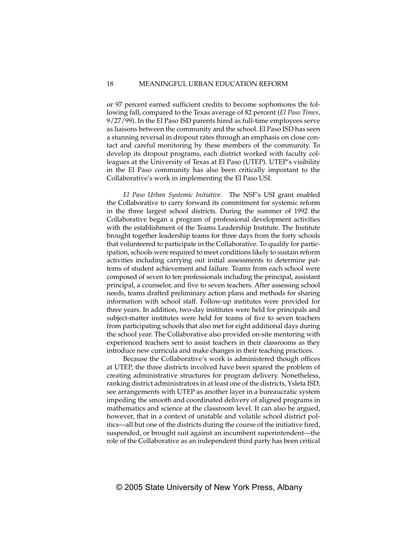or 97 percent earned sufficient credits to become sophomores the following fall, compared to the Texas average of 82 percent (*El Paso Times,* 9/27/99). In the El Paso ISD parents hired as full-time employees serve as liaisons between the community and the school. El Paso ISD has seen a stunning reversal in dropout rates through an emphasis on close contact and careful monitoring by these members of the community. To develop its dropout programs, each district worked with faculty colleagues at the University of Texas at El Paso (UTEP). UTEP's visibility in the El Paso community has also been critically important to the Collaborative's work in implementing the El Paso USI.

*El Paso Urban Systemic Initiative.* The NSF's USI grant enabled the Collaborative to carry forward its commitment for systemic reform in the three largest school districts. During the summer of 1992 the Collaborative began a program of professional development activities with the establishment of the Teams Leadership Institute. The Institute brought together leadership teams for three days from the forty schools that volunteered to participate in the Collaborative. To qualify for participation, schools were required to meet conditions likely to sustain reform activities including carrying out initial assessments to determine patterns of student achievement and failure. Teams from each school were composed of seven to ten professionals including the principal, assistant principal, a counselor, and five to seven teachers. After assessing school needs, teams drafted preliminary action plans and methods for sharing information with school staff. Follow-up institutes were provided for three years. In addition, two-day institutes were held for principals and subject-matter institutes were held for teams of five to seven teachers from participating schools that also met for eight additional days during the school year. The Collaborative also provided on-site mentoring with experienced teachers sent to assist teachers in their classrooms as they introduce new curricula and make changes in their teaching practices.

Because the Collaborative's work is administered though offices at UTEP, the three districts involved have been spared the problem of creating administrative structures for program delivery. Nonetheless, ranking district administrators in at least one of the districts, Ysleta ISD, see arrangements with UTEP as another layer in a bureaucratic system impeding the smooth and coordinated delivery of aligned programs in mathematics and science at the classroom level. It can also be argued, however, that in a context of unstable and volatile school district politics—all but one of the districts during the course of the initiative fired, suspended, or brought suit against an incumbent superintendent—the role of the Collaborative as an independent third party has been critical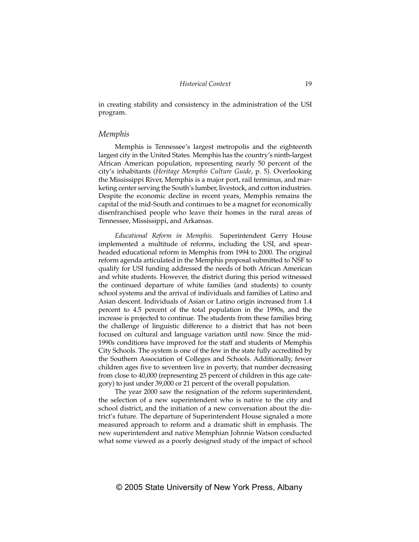in creating stability and consistency in the administration of the USI program.

#### *Memphis*

Memphis is Tennessee's largest metropolis and the eighteenth largest city in the United States. Memphis has the country's ninth-largest African American population, representing nearly 50 percent of the city's inhabitants (*Heritage Memphis Culture Guide*, p. 5). Overlooking the Mississippi River, Memphis is a major port, rail terminus, and marketing center serving the South's lumber, livestock, and cotton industries. Despite the economic decline in recent years, Memphis remains the capital of the mid-South and continues to be a magnet for economically disenfranchised people who leave their homes in the rural areas of Tennessee, Mississippi, and Arkansas.

*Educational Reform in Memphis.* Superintendent Gerry House implemented a multitude of reforms, including the USI, and spearheaded educational reform in Memphis from 1994 to 2000. The original reform agenda articulated in the Memphis proposal submitted to NSF to qualify for USI funding addressed the needs of both African American and white students. However, the district during this period witnessed the continued departure of white families (and students) to county school systems and the arrival of individuals and families of Latino and Asian descent. Individuals of Asian or Latino origin increased from 1.4 percent to 4.5 percent of the total population in the 1990s, and the increase is projected to continue. The students from these families bring the challenge of linguistic difference to a district that has not been focused on cultural and language variation until now. Since the mid-1990s conditions have improved for the staff and students of Memphis City Schools. The system is one of the few in the state fully accredited by the Southern Association of Colleges and Schools. Additionally, fewer children ages five to seventeen live in poverty, that number decreasing from close to 40,000 (representing 25 percent of children in this age category) to just under 39,000 or 21 percent of the overall population.

The year 2000 saw the resignation of the reform superintendent, the selection of a new superintendent who is native to the city and school district, and the initiation of a new conversation about the district's future. The departure of Superintendent House signaled a more measured approach to reform and a dramatic shift in emphasis. The new superintendent and native Memphian Johnnie Watson conducted what some viewed as a poorly designed study of the impact of school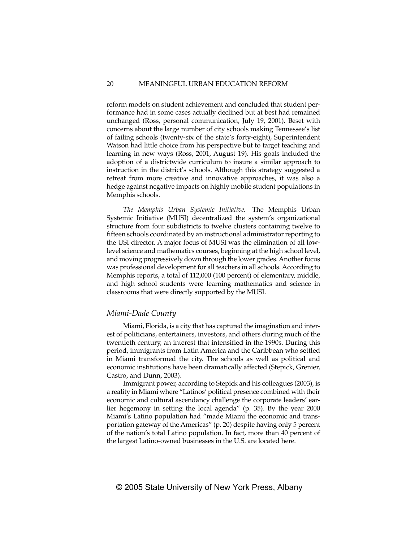reform models on student achievement and concluded that student performance had in some cases actually declined but at best had remained unchanged (Ross, personal communication, July 19, 2001). Beset with concerns about the large number of city schools making Tennessee's list of failing schools (twenty-six of the state's forty-eight), Superintendent Watson had little choice from his perspective but to target teaching and learning in new ways (Ross, 2001, August 19). His goals included the adoption of a districtwide curriculum to insure a similar approach to instruction in the district's schools. Although this strategy suggested a retreat from more creative and innovative approaches, it was also a hedge against negative impacts on highly mobile student populations in Memphis schools.

*The Memphis Urban Systemic Initiative.* The Memphis Urban Systemic Initiative (MUSI) decentralized the system's organizational structure from four subdistricts to twelve clusters containing twelve to fifteen schools coordinated by an instructional administrator reporting to the USI director. A major focus of MUSI was the elimination of all lowlevel science and mathematics courses, beginning at the high school level, and moving progressively down through the lower grades. Another focus was professional development for all teachers in all schools. According to Memphis reports, a total of 112,000 (100 percent) of elementary, middle, and high school students were learning mathematics and science in classrooms that were directly supported by the MUSI.

#### *Miami-Dade County*

Miami, Florida, is a city that has captured the imagination and interest of politicians, entertainers, investors, and others during much of the twentieth century, an interest that intensified in the 1990s. During this period, immigrants from Latin America and the Caribbean who settled in Miami transformed the city. The schools as well as political and economic institutions have been dramatically affected (Stepick, Grenier, Castro, and Dunn, 2003).

Immigrant power, according to Stepick and his colleagues (2003), is a reality in Miami where "Latinos' political presence combined with their economic and cultural ascendancy challenge the corporate leaders' earlier hegemony in setting the local agenda" (p. 35). By the year 2000 Miami's Latino population had "made Miami the economic and transportation gateway of the Americas" (p. 20) despite having only 5 percent of the nation's total Latino population. In fact, more than 40 percent of the largest Latino-owned businesses in the U.S. are located here.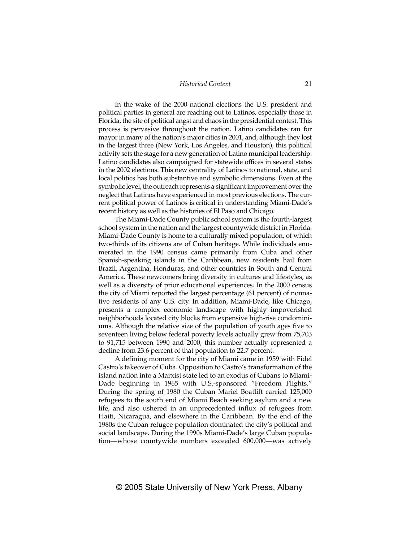In the wake of the 2000 national elections the U.S. president and political parties in general are reaching out to Latinos, especially those in Florida, the site of political angst and chaos in the presidential contest. This process is pervasive throughout the nation. Latino candidates ran for mayor in many of the nation's major cities in 2001, and, although they lost in the largest three (New York, Los Angeles, and Houston), this political activity sets the stage for a new generation of Latino municipal leadership. Latino candidates also campaigned for statewide offices in several states in the 2002 elections. This new centrality of Latinos to national, state, and local politics has both substantive and symbolic dimensions. Even at the symbolic level, the outreach represents a significant improvement over the neglect that Latinos have experienced in most previous elections. The current political power of Latinos is critical in understanding Miami-Dade's recent history as well as the histories of El Paso and Chicago.

The Miami-Dade County public school system is the fourth-largest school system in the nation and the largest countywide district in Florida. Miami-Dade County is home to a culturally mixed population, of which two-thirds of its citizens are of Cuban heritage. While individuals enumerated in the 1990 census came primarily from Cuba and other Spanish-speaking islands in the Caribbean, new residents hail from Brazil, Argentina, Honduras, and other countries in South and Central America. These newcomers bring diversity in cultures and lifestyles, as well as a diversity of prior educational experiences. In the 2000 census the city of Miami reported the largest percentage (61 percent) of nonnative residents of any U.S. city. In addition, Miami-Dade, like Chicago, presents a complex economic landscape with highly impoverished neighborhoods located city blocks from expensive high-rise condominiums. Although the relative size of the population of youth ages five to seventeen living below federal poverty levels actually grew from 75,703 to 91,715 between 1990 and 2000, this number actually represented a decline from 23.6 percent of that population to 22.7 percent.

A defining moment for the city of Miami came in 1959 with Fidel Castro's takeover of Cuba. Opposition to Castro's transformation of the island nation into a Marxist state led to an exodus of Cubans to Miami-Dade beginning in 1965 with U.S.-sponsored "Freedom Flights." During the spring of 1980 the Cuban Mariel Boatlift carried 125,000 refugees to the south end of Miami Beach seeking asylum and a new life, and also ushered in an unprecedented influx of refugees from Haiti, Nicaragua, and elsewhere in the Caribbean. By the end of the 1980s the Cuban refugee population dominated the city's political and social landscape. During the 1990s Miami-Dade's large Cuban population—whose countywide numbers exceeded 600,000—was actively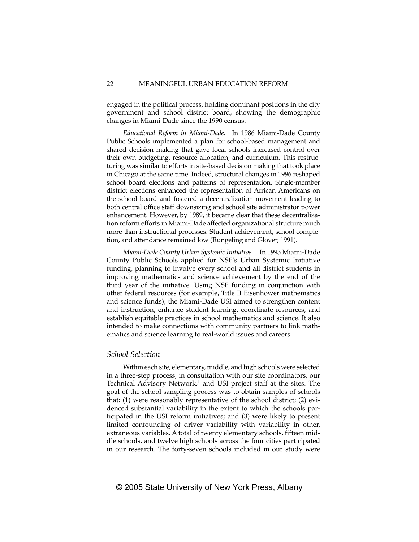#### 22 MEANINGFUL URBAN EDUCATION REFORM

engaged in the political process, holding dominant positions in the city government and school district board, showing the demographic changes in Miami-Dade since the 1990 census.

*Educational Reform in Miami-Dade*. In 1986 Miami-Dade County Public Schools implemented a plan for school-based management and shared decision making that gave local schools increased control over their own budgeting, resource allocation, and curriculum. This restructuring was similar to efforts in site-based decision making that took place in Chicago at the same time. Indeed, structural changes in 1996 reshaped school board elections and patterns of representation. Single-member district elections enhanced the representation of African Americans on the school board and fostered a decentralization movement leading to both central office staff downsizing and school site administrator power enhancement. However, by 1989, it became clear that these decentralization reform efforts in Miami-Dade affected organizational structure much more than instructional processes. Student achievement, school completion, and attendance remained low (Rungeling and Glover, 1991).

*Miami-Dade County Urban Systemic Initiative.* In 1993 Miami-Dade County Public Schools applied for NSF's Urban Systemic Initiative funding, planning to involve every school and all district students in improving mathematics and science achievement by the end of the third year of the initiative. Using NSF funding in conjunction with other federal resources (for example, Title II Eisenhower mathematics and science funds), the Miami-Dade USI aimed to strengthen content and instruction, enhance student learning, coordinate resources, and establish equitable practices in school mathematics and science. It also intended to make connections with community partners to link mathematics and science learning to real-world issues and careers.

## *School Selection*

Within each site, elementary, middle, and high schools were selected in a three-step process, in consultation with our site coordinators, our Technical Advisory Network,<sup>1</sup> and USI project staff at the sites. The goal of the school sampling process was to obtain samples of schools that: (1) were reasonably representative of the school district; (2) evidenced substantial variability in the extent to which the schools participated in the USI reform initiatives; and (3) were likely to present limited confounding of driver variability with variability in other, extraneous variables. A total of twenty elementary schools, fifteen middle schools, and twelve high schools across the four cities participated in our research. The forty-seven schools included in our study were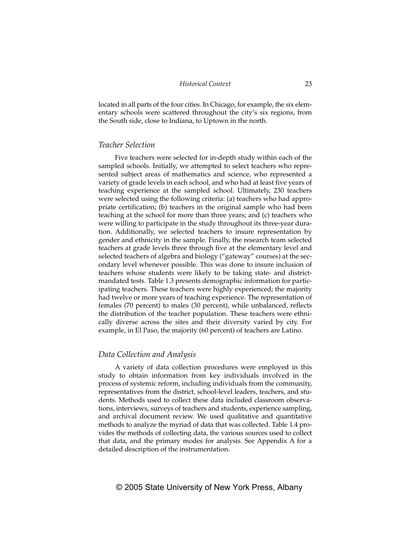located in all parts of the four cities. In Chicago, for example, the six elementary schools were scattered throughout the city's six regions, from the South side, close to Indiana, to Uptown in the north.

#### *Teacher Selection*

Five teachers were selected for in-depth study within each of the sampled schools. Initially, we attempted to select teachers who represented subject areas of mathematics and science, who represented a variety of grade levels in each school, and who had at least five years of teaching experience at the sampled school. Ultimately, 230 teachers were selected using the following criteria: (a) teachers who had appropriate certification; (b) teachers in the original sample who had been teaching at the school for more than three years; and (c) teachers who were willing to participate in the study throughout its three-year duration. Additionally, we selected teachers to insure representation by gender and ethnicity in the sample. Finally, the research team selected teachers at grade levels three through five at the elementary level and selected teachers of algebra and biology ("gateway" courses) at the secondary level whenever possible. This was done to insure inclusion of teachers whose students were likely to be taking state- and districtmandated tests. Table 1.3 presents demographic information for participating teachers. These teachers were highly experienced; the majority had twelve or more years of teaching experience. The representation of females (70 percent) to males (30 percent), while unbalanced, reflects the distribution of the teacher population. These teachers were ethnically diverse across the sites and their diversity varied by city. For example, in El Paso, the majority (60 percent) of teachers are Latino.

#### *Data Collection and Analysis*

A variety of data collection procedures were employed in this study to obtain information from key individuals involved in the process of systemic reform, including individuals from the community, representatives from the district, school-level leaders, teachers, and students. Methods used to collect these data included classroom observations, interviews, surveys of teachers and students, experience sampling, and archival document review. We used qualitative and quantitative methods to analyze the myriad of data that was collected. Table 1.4 provides the methods of collecting data, the various sources used to collect that data, and the primary modes for analysis. See Appendix A for a detailed description of the instrumentation.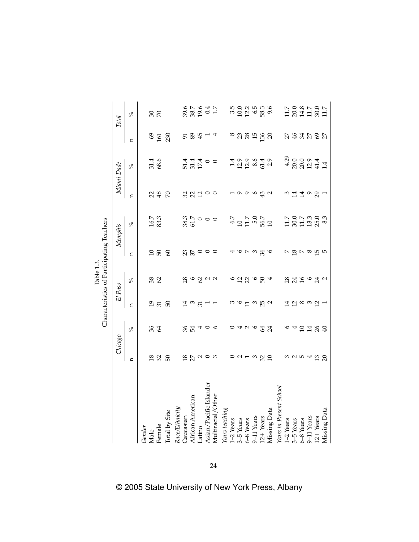|                         |                                                         |         |                |                | Characteristics of Participating Teachers     |                                              |                                                         |                                                |                    |                                                    |
|-------------------------|---------------------------------------------------------|---------|----------------|----------------|-----------------------------------------------|----------------------------------------------|---------------------------------------------------------|------------------------------------------------|--------------------|----------------------------------------------------|
|                         | Chicago                                                 |         |                | El Paso        |                                               | Memphis                                      |                                                         | Miami-Dade                                     |                    | <b>Total</b>                                       |
|                         | $\mathbf{a}$                                            | $\%$    | Ξ              | $\%$           | $\mathbf{a}$                                  | $\%$                                         | Ξ                                                       | $\%$                                           | L,                 | $\%$                                               |
| Gender                  |                                                         |         |                |                |                                               |                                              |                                                         |                                                |                    |                                                    |
| Male                    |                                                         | % 3     | $\overline{0}$ | 38<br>62       |                                               |                                              |                                                         | 31.4                                           |                    |                                                    |
| Female                  | $\frac{8}{32}$                                          |         | 57             |                | $\frac{50}{2}$                                | 16.7<br>83.3                                 | 23                                                      | 68.6                                           | $\frac{69}{161}$   | 88                                                 |
| <b>Total by Site</b>    | 50                                                      |         | 50             |                | $\mathcal{S}$                                 |                                              | $\mathcal{R}$                                           |                                                | 230                |                                                    |
| Race/Ethnicity          |                                                         |         |                |                |                                               |                                              |                                                         |                                                |                    |                                                    |
| Caucasian               |                                                         |         | ᅼ              |                |                                               |                                              |                                                         | 51.4                                           |                    |                                                    |
| African American        |                                                         | $% R_4$ | $\frac{3}{2}$  |                |                                               | 38.3<br>61.7                                 |                                                         | 31.4<br>17.4                                   | <b>5855</b>        |                                                    |
| Latino                  |                                                         |         |                |                |                                               | $\circ$                                      |                                                         |                                                |                    |                                                    |
| Asian/Pacific Islander  | $\frac{8}{2}$ $\frac{1}{2}$ $\frac{0}{2}$ $\frac{0}{2}$ | $\circ$ |                | 8 9 9 9 9<br>8 | $\mathfrak{A} \mathfrak{h} \circ \circ \circ$ | $\circ$                                      | $\frac{1}{2}$ $\frac{1}{2}$ $\frac{1}{2}$ $\frac{1}{2}$ | $\circ$                                        | $\overline{ }$     | 825<br>83647<br>8365                               |
| Multiracial/Other       |                                                         | $\circ$ |                |                |                                               | $\circ$                                      |                                                         |                                                | 4                  |                                                    |
| Years teaching          |                                                         |         |                |                |                                               |                                              |                                                         |                                                |                    |                                                    |
| 1-2 Years               |                                                         |         |                |                |                                               |                                              |                                                         | 1.4                                            |                    |                                                    |
| 3-5 Years               | $\sim$ $\sim$                                           | 4       |                |                |                                               |                                              |                                                         |                                                |                    |                                                    |
| 6-8 Years               |                                                         |         |                |                |                                               |                                              |                                                         |                                                |                    |                                                    |
| 9-11 Years              |                                                         |         |                |                |                                               |                                              |                                                         |                                                |                    |                                                    |
| $12 + Years$            | 380                                                     | 7927    |                | $62867$        | さてきおる                                         | $6.7$<br>$1.7$<br>$-5.0$<br>$-5.7$<br>$-5.0$ | ၈၈ မေ အလ                                                | $12.9$<br>$12.8$<br>$6.4$<br>$7.9$             | ∞ ឌុ ឌុ ដ » ៑<br>∞ |                                                    |
| Missing Data            |                                                         |         |                |                |                                               |                                              |                                                         |                                                |                    |                                                    |
| Years in Present School |                                                         |         |                |                |                                               |                                              |                                                         |                                                |                    |                                                    |
| 1-2 Years               | ω                                                       | $\circ$ |                |                |                                               |                                              |                                                         |                                                |                    |                                                    |
| 3-5 Years               | 752                                                     | 4       | 11128311       | 2319072        | $\sim$ 20 $\sim$ 20 $\sim$                    | $1.700$<br>$1.7000$<br>$1.7000$<br>$0.300$   | ♡ 11 11 ♡ 81 →                                          | $4.29$<br>$20.0$<br>$20.0$<br>$21.4$<br>$41.4$ | 5 \$ \$ 5 \$ 5     | $1.7$<br>$2.3$<br>$3.7$<br>$1.7$<br>$1.7$<br>$1.7$ |
| 6-8 Years               |                                                         |         |                |                |                                               |                                              |                                                         |                                                |                    |                                                    |
| 9-11 Years              |                                                         | 2489    |                |                |                                               |                                              |                                                         |                                                |                    |                                                    |
| $12 + Years$            |                                                         |         |                |                |                                               |                                              |                                                         |                                                |                    |                                                    |
| Missing Data            |                                                         |         |                |                |                                               |                                              |                                                         | 1.4                                            |                    |                                                    |

 $Table 1.3.$ Table 1.3.

24

# © 2005 State University of New York Press, Albany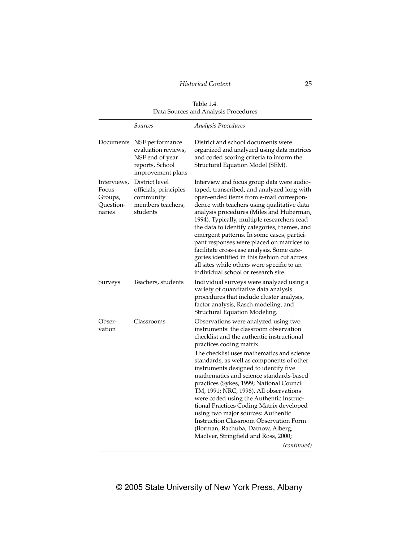# *Historical Context* 25

|                                                        | Sources                                                                                           | Analysis Procedures                                                                                                                                                                                                                                                                                                                                                                                                                                                                                                                                                                                                                                                                             |
|--------------------------------------------------------|---------------------------------------------------------------------------------------------------|-------------------------------------------------------------------------------------------------------------------------------------------------------------------------------------------------------------------------------------------------------------------------------------------------------------------------------------------------------------------------------------------------------------------------------------------------------------------------------------------------------------------------------------------------------------------------------------------------------------------------------------------------------------------------------------------------|
| Documents                                              | NSF performance<br>evaluation reviews,<br>NSF end of year<br>reports, School<br>improvement plans | District and school documents were<br>organized and analyzed using data matrices<br>and coded scoring criteria to inform the<br>Structural Equation Model (SEM).                                                                                                                                                                                                                                                                                                                                                                                                                                                                                                                                |
| Interviews,<br>Focus<br>Groups,<br>Question-<br>naries | District level<br>officials, principles<br>community<br>members teachers,<br>students             | Interview and focus group data were audio-<br>taped, transcribed, and analyzed long with<br>open-ended items from e-mail correspon-<br>dence with teachers using qualitative data<br>analysis procedures (Miles and Huberman,<br>1994). Typically, multiple researchers read<br>the data to identify categories, themes, and<br>emergent patterns. In some cases, partici-<br>pant responses were placed on matrices to<br>facilitate cross-case analysis. Some cate-<br>gories identified in this fashion cut across<br>all sites while others were specific to an<br>individual school or research site.                                                                                      |
| Surveys                                                | Teachers, students                                                                                | Individual surveys were analyzed using a<br>variety of quantitative data analysis<br>procedures that include cluster analysis,<br>factor analysis, Rasch modeling, and<br>Structural Equation Modeling.                                                                                                                                                                                                                                                                                                                                                                                                                                                                                         |
| Obser-<br>vation                                       | Classrooms                                                                                        | Observations were analyzed using two<br>instruments: the classroom observation<br>checklist and the authentic instructional<br>practices coding matrix.<br>The checklist uses mathematics and science<br>standards, as well as components of other<br>instruments designed to identify five<br>mathematics and science standards-based<br>practices (Sykes, 1999; National Council<br>TM, 1991; NRC, 1996). All observations<br>were coded using the Authentic Instruc-<br>tional Practices Coding Matrix developed<br>using two major sources: Authentic<br>Instruction Classroom Observation Form<br>(Borman, Rachuba, Datnow, Alberg,<br>MacIver, Stringfield and Ross, 2000;<br>(continued) |

Table 1.4. Data Sources and Analysis Procedures